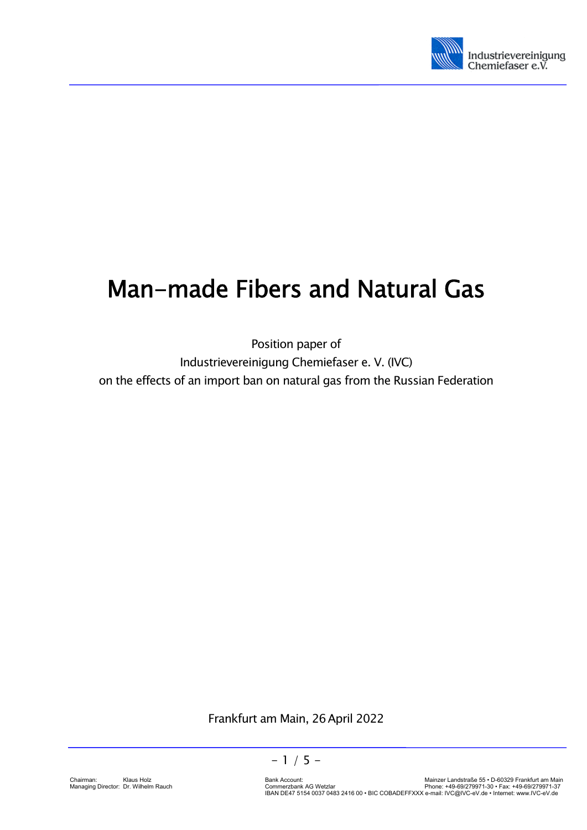

# Man-made Fibers and Natural Gas

Position paper of Industrievereinigung Chemiefaser e. V. (IVC) on the effects of an import ban on natural gas from the Russian Federation

Frankfurt am Main, 26April 2022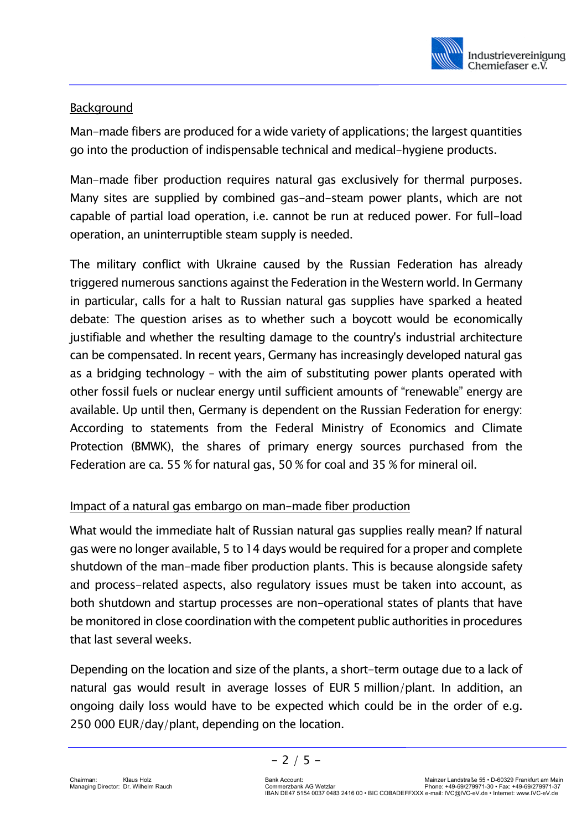

## Background

Man-made fibers are produced for a wide variety of applications; the largest quantities go into the production of indispensable technical and medical-hygiene products.

Man-made fiber production requires natural gas exclusively for thermal purposes. Many sites are supplied by combined gas-and-steam power plants, which are not capable of partial load operation, i.e. cannot be run at reduced power. For full-load operation, an uninterruptible steam supply is needed.

The military conflict with Ukraine caused by the Russian Federation has already triggered numerous sanctions against the Federation in the Western world. In Germany in particular, calls for a halt to Russian natural gas supplies have sparked a heated debate: The question arises as to whether such a boycott would be economically justifiable and whether the resulting damage to the country's industrial architecture can be compensated. In recent years, Germany has increasingly developed natural gas as a bridging technology – with the aim of substituting power plants operated with other fossil fuels or nuclear energy until sufficient amounts of "renewable" energy are available. Up until then, Germany is dependent on the Russian Federation for energy: According to statements from the Federal Ministry of Economics and Climate Protection (BMWK), the shares of primary energy sources purchased from the Federation are ca. 55 % for natural gas, 50 % for coal and 35 % for mineral oil.

# Impact of a natural gas embargo on man-made fiber production

What would the immediate halt of Russian natural gas supplies really mean? If natural gas were no longer available, 5 to 14 days would be required for a proper and complete shutdown of the man-made fiber production plants. This is because alongside safety and process-related aspects, also regulatory issues must be taken into account, as both shutdown and startup processes are non-operational states of plants that have be monitored in close coordination with the competent public authorities in procedures that last several weeks.

Depending on the location and size of the plants, a short-term outage due to a lack of natural gas would result in average losses of EUR 5 million/plant. In addition, an ongoing daily loss would have to be expected which could be in the order of e.g. 250 000 EUR/day/plant, depending on the location.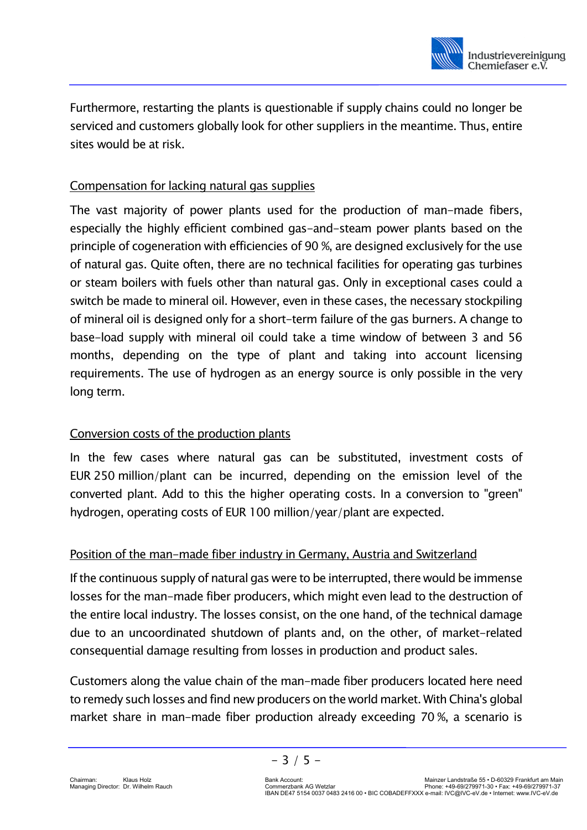

Furthermore, restarting the plants is questionable if supply chains could no longer be serviced and customers globally look for other suppliers in the meantime. Thus, entire sites would be at risk.

## Compensation for lacking natural gas supplies

The vast majority of power plants used for the production of man-made fibers, especially the highly efficient combined gas-and-steam power plants based on the principle of cogeneration with efficiencies of 90 %, are designed exclusively for the use of natural gas. Quite often, there are no technical facilities for operating gas turbines or steam boilers with fuels other than natural gas. Only in exceptional cases could a switch be made to mineral oil. However, even in these cases, the necessary stockpiling of mineral oil is designed only for a short-term failure of the gas burners. A change to base-load supply with mineral oil could take a time window of between 3 and 56 months, depending on the type of plant and taking into account licensing requirements. The use of hydrogen as an energy source is only possible in the very long term.

# Conversion costs of the production plants

In the few cases where natural gas can be substituted, investment costs of EUR 250 million/plant can be incurred, depending on the emission level of the converted plant. Add to this the higher operating costs. In a conversion to "green" hydrogen, operating costs of EUR 100 million/year/plant are expected.

#### Position of the man-made fiber industry in Germany, Austria and Switzerland

If the continuous supply of natural gas were to be interrupted, there would be immense losses for the man-made fiber producers, which might even lead to the destruction of the entire local industry. The losses consist, on the one hand, of the technical damage due to an uncoordinated shutdown of plants and, on the other, of market-related consequential damage resulting from losses in production and product sales.

Customers along the value chain of the man-made fiber producers located here need to remedy such losses and find new producers on the world market. With China's global market share in man-made fiber production already exceeding 70 %, a scenario is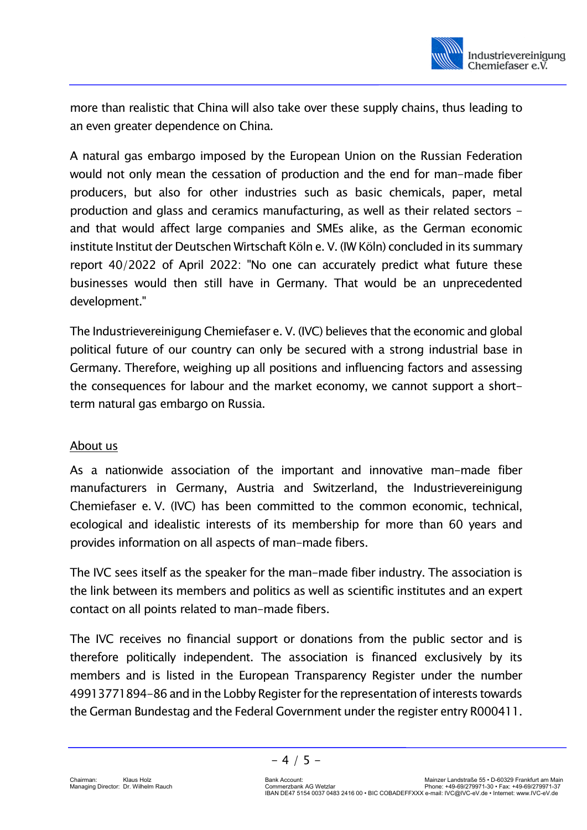

more than realistic that China will also take over these supply chains, thus leading to an even greater dependence on China.

A natural gas embargo imposed by the European Union on the Russian Federation would not only mean the cessation of production and the end for man-made fiber producers, but also for other industries such as basic chemicals, paper, metal production and glass and ceramics manufacturing, as well as their related sectors and that would affect large companies and SMEs alike, as the German economic institute Institut der Deutschen Wirtschaft Köln e. V. (IW Köln) concluded in its summary report 40/2022 of April 2022: "No one can accurately predict what future these businesses would then still have in Germany. That would be an unprecedented development."

The Industrievereinigung Chemiefaser e. V. (IVC) believes that the economic and global political future of our country can only be secured with a strong industrial base in Germany. Therefore, weighing up all positions and influencing factors and assessing the consequences for labour and the market economy, we cannot support a shortterm natural gas embargo on Russia.

#### About us

As a nationwide association of the important and innovative man-made fiber manufacturers in Germany, Austria and Switzerland, the Industrievereinigung Chemiefaser e. V. (IVC) has been committed to the common economic, technical, ecological and idealistic interests of its membership for more than 60 years and provides information on all aspects of man-made fibers.

The IVC sees itself as the speaker for the man-made fiber industry. The association is the link between its members and politics as well as scientific institutes and an expert contact on all points related to man-made fibers.

The IVC receives no financial support or donations from the public sector and is therefore politically independent. The association is financed exclusively by its members and is listed in the European Transparency Register under the number 49913771894-86 and in the Lobby Register for the representation of interests towards the German Bundestag and the Federal Government under the register entry R000411.